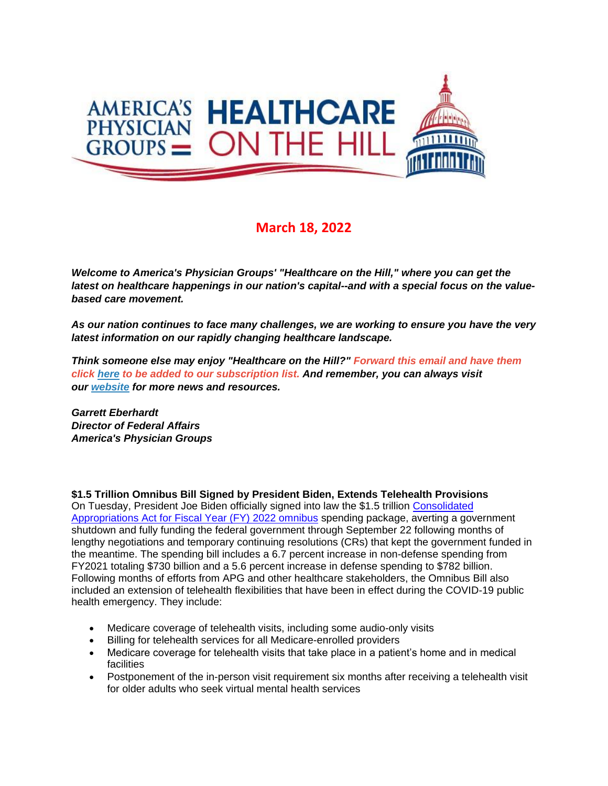

## **March 18, 2022**

*Welcome to America's Physician Groups' "Healthcare on the Hill," where you can get the latest on healthcare happenings in our nation's capital--and with a special focus on the valuebased care movement.*

*As our nation continues to face many challenges, we are working to ensure you have the very latest information on our rapidly changing healthcare landscape.*

*Think someone else may enjoy "Healthcare on the Hill?" Forward this email and have them click [here](mailto:srobinette@apg.org) to be added to our subscription list. And remember, you can always visit our [website](http://link.apg.org/c/7/eyJhaSI6Njk4MDUxNDQsImUiOiJncGhpbGxpcHNAYXBnLm9yZyIsInJpIjoiY29udGFjdC03YWMxOTAzZjFkYzVlYTExYTgxMjAwMGQzYTVhMTdlMy00ZDBkOTAzNmQyYjk0MTAyOTYxNWRmMDUwOTNjNzI2YyIsInJxIjoiMDItYjIyMDExLTZmOTFiNjc1MWVkZjQ0ZDk5YmJkNTc5ZGFkMDFlZGEzIiwicGgiOm51bGwsIm0iOmZhbHNlLCJ1aSI6IjAiLCJ1biI6IiIsInUiOiJodHRwOi8vd3d3LmFwZy5vcmc_X2NsZGVlPVozQm9hV3hzYVhCelFHRndaeTV2Y21jJTNkJnJlY2lwaWVudGlkPWNvbnRhY3QtN2FjMTkwM2YxZGM1ZWExMWE4MTIwMDBkM2E1YTE3ZTMtNGQwZDkwMzZkMmI5NDEwMjk2MTVkZjA1MDkzYzcyNmMmZXNpZD1hOGM3MmIyZi04YTcyLWVjMTEtODk0My0wMDBkM2E1OTkzYWEifQ/SOn7YH87DCIKhgwwa7sBuQ) for more news and resources.* 

*Garrett Eberhardt Director of Federal Affairs America's Physician Groups*

**\$1.5 Trillion Omnibus Bill Signed by President Biden, Extends Telehealth Provisions** On Tuesday, President Joe Biden officially signed into law the \$1.5 trillion [Consolidated](http://link.apg.org/c/7/eyJhaSI6Njk4MDUxNDQsImUiOiJncGhpbGxpcHNAYXBnLm9yZyIsInJpIjoiY29udGFjdC03YWMxOTAzZjFkYzVlYTExYTgxMjAwMGQzYTVhMTdlMy1lY2QyNmNhYTBlOTc0ZDNlYmRmNGM1ZDdhYTBlZTM3ZiIsInJxIjoiMDItYjIyMDc3LTI0ZTJkNzZlYjM1MTRiNDc4Y2ZlNDhkNTVjNDdiMGRmIiwicGgiOm51bGwsIm0iOmZhbHNlLCJ1aSI6IjEiLCJ1biI6IiIsInUiOiJodHRwczovL3d3dy5jb25ncmVzcy5nb3YvMTE3L2JpbGxzL2hyMjQ3MS9CSUxMUy0xMTdocjI0NzFlbnIucGRmP19jbGRlZT1aM0JvYVd4c2FYQnpRR0Z3Wnk1dmNtYyUzZCZyZWNpcGllbnRpZD1jb250YWN0LTdhYzE5MDNmMWRjNWVhMTFhODEyMDAwZDNhNWExN2UzLWVjZDI2Y2FhMGU5NzRkM2ViZGY0YzVkN2FhMGVlMzdmJmVzaWQ9NGU3ZDE0MTUtMjVhNi1lYzExLTk4M2YtMDAyMjQ4MGIxZWNhIn0/AoQePTOG9Cs56h-fuITrKQ) 

[Appropriations Act for Fiscal Year \(FY\) 2022 omnibus](http://link.apg.org/c/7/eyJhaSI6Njk4MDUxNDQsImUiOiJncGhpbGxpcHNAYXBnLm9yZyIsInJpIjoiY29udGFjdC03YWMxOTAzZjFkYzVlYTExYTgxMjAwMGQzYTVhMTdlMy1lY2QyNmNhYTBlOTc0ZDNlYmRmNGM1ZDdhYTBlZTM3ZiIsInJxIjoiMDItYjIyMDc3LTI0ZTJkNzZlYjM1MTRiNDc4Y2ZlNDhkNTVjNDdiMGRmIiwicGgiOm51bGwsIm0iOmZhbHNlLCJ1aSI6IjEiLCJ1biI6IiIsInUiOiJodHRwczovL3d3dy5jb25ncmVzcy5nb3YvMTE3L2JpbGxzL2hyMjQ3MS9CSUxMUy0xMTdocjI0NzFlbnIucGRmP19jbGRlZT1aM0JvYVd4c2FYQnpRR0Z3Wnk1dmNtYyUzZCZyZWNpcGllbnRpZD1jb250YWN0LTdhYzE5MDNmMWRjNWVhMTFhODEyMDAwZDNhNWExN2UzLWVjZDI2Y2FhMGU5NzRkM2ViZGY0YzVkN2FhMGVlMzdmJmVzaWQ9NGU3ZDE0MTUtMjVhNi1lYzExLTk4M2YtMDAyMjQ4MGIxZWNhIn0/AoQePTOG9Cs56h-fuITrKQ) spending package, averting a government shutdown and fully funding the federal government through September 22 following months of lengthy negotiations and temporary continuing resolutions (CRs) that kept the government funded in the meantime. The spending bill includes a 6.7 percent increase in non-defense spending from FY2021 totaling \$730 billion and a 5.6 percent increase in defense spending to \$782 billion. Following months of efforts from APG and other healthcare stakeholders, the Omnibus Bill also included an extension of telehealth flexibilities that have been in effect during the COVID-19 public health emergency. They include:

- Medicare coverage of telehealth visits, including some audio-only visits
- Billing for telehealth services for all Medicare-enrolled providers
- Medicare coverage for telehealth visits that take place in a patient's home and in medical facilities
- Postponement of the in-person visit requirement six months after receiving a telehealth visit for older adults who seek virtual mental health services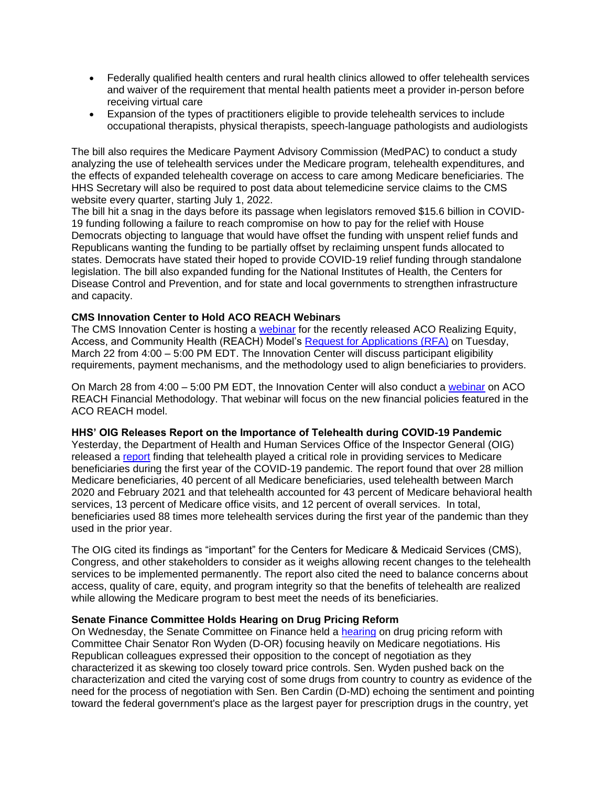- Federally qualified health centers and rural health clinics allowed to offer telehealth services and waiver of the requirement that mental health patients meet a provider in-person before receiving virtual care
- Expansion of the types of practitioners eligible to provide telehealth services to include occupational therapists, physical therapists, speech-language pathologists and audiologists

The bill also requires the Medicare Payment Advisory Commission (MedPAC) to conduct a study analyzing the use of telehealth services under the Medicare program, telehealth expenditures, and the effects of expanded telehealth coverage on access to care among Medicare beneficiaries. The HHS Secretary will also be required to post data about telemedicine service claims to the CMS website every quarter, starting July 1, 2022.

The bill hit a snag in the days before its passage when legislators removed \$15.6 billion in COVID-19 funding following a failure to reach compromise on how to pay for the relief with House Democrats objecting to language that would have offset the funding with unspent relief funds and Republicans wanting the funding to be partially offset by reclaiming unspent funds allocated to states. Democrats have stated their hoped to provide COVID-19 relief funding through standalone legislation. The bill also expanded funding for the National Institutes of Health, the Centers for Disease Control and Prevention, and for state and local governments to strengthen infrastructure and capacity.

## **CMS Innovation Center to Hold ACO REACH Webinars**

The CMS Innovation Center is hosting a [webinar](http://link.apg.org/c/7/eyJhaSI6Njk4MDUxNDQsImUiOiJncGhpbGxpcHNAYXBnLm9yZyIsInJpIjoiY29udGFjdC03YWMxOTAzZjFkYzVlYTExYTgxMjAwMGQzYTVhMTdlMy1lY2QyNmNhYTBlOTc0ZDNlYmRmNGM1ZDdhYTBlZTM3ZiIsInJxIjoiMDItYjIyMDc3LTI0ZTJkNzZlYjM1MTRiNDc4Y2ZlNDhkNTVjNDdiMGRmIiwicGgiOm51bGwsIm0iOmZhbHNlLCJ1aSI6IjIiLCJ1biI6IiIsInUiOiJodHRwczovL2xua3MuZ2QvbC9leUpoYkdjaU9pSklVekkxTmlKOS5leUppZFd4c1pYUnBibDlzYVc1clgybGtJam94TURFc0luVnlhU0k2SW1Kd01qcGpiR2xqYXlJc0ltSjFiR3hsZEdsdVgybGtJam9pTWpBeU1qQXpNVGN1TlRVd05qQTBOREVpTENKMWNtd2lPaUpvZEhSd2N6b3ZMMk50Y3k1NmIyOXRaMjkyTG1OdmJTOTNaV0pwYm1GeUwzSmxaMmx6ZEdWeUwxZE9YMjlQV2tWVmVWbERWRVJsZDJWbFJXMUhOM0kxUkhjaWZRLktiMUZ5anBxWFUtWUZXTmc0aTIwNS1USXJvVVR3cDVaTWVIMHRRc192Rlkvcy8xMjAyNDM3NDU4L2JyLzEyODI3MDc3NjQ2MC1sP19jbGRlZT1aM0JvYVd4c2FYQnpRR0Z3Wnk1dmNtYyUzZCZyZWNpcGllbnRpZD1jb250YWN0LTdhYzE5MDNmMWRjNWVhMTFhODEyMDAwZDNhNWExN2UzLWVjZDI2Y2FhMGU5NzRkM2ViZGY0YzVkN2FhMGVlMzdmJmVzaWQ9NGU3ZDE0MTUtMjVhNi1lYzExLTk4M2YtMDAyMjQ4MGIxZWNhIn0/m2bQYMXzgH-USvP40AvJ6A) for the recently released ACO Realizing Equity, Access, and Community Health (REACH) Model's [Request for Applications \(RFA\)](http://link.apg.org/c/7/eyJhaSI6Njk4MDUxNDQsImUiOiJncGhpbGxpcHNAYXBnLm9yZyIsInJpIjoiY29udGFjdC03YWMxOTAzZjFkYzVlYTExYTgxMjAwMGQzYTVhMTdlMy1lY2QyNmNhYTBlOTc0ZDNlYmRmNGM1ZDdhYTBlZTM3ZiIsInJxIjoiMDItYjIyMDc3LTI0ZTJkNzZlYjM1MTRiNDc4Y2ZlNDhkNTVjNDdiMGRmIiwicGgiOm51bGwsIm0iOmZhbHNlLCJ1aSI6IjMiLCJ1biI6IiIsInUiOiJodHRwczovL2xua3MuZ2QvbC9leUpoYkdjaU9pSklVekkxTmlKOS5leUppZFd4c1pYUnBibDlzYVc1clgybGtJam94TURBc0luVnlhU0k2SW1Kd01qcGpiR2xqYXlJc0ltSjFiR3hsZEdsdVgybGtJam9pTWpBeU1qQXpNVGN1TlRVd05qQTBOREVpTENKMWNtd2lPaUpvZEhSd2N6b3ZMMmx1Ym05MllYUnBiMjR1WTIxekxtZHZkaTl0WldScFlTOWtiMk4xYldWdWRDOWhZMjh0Y21WaFkyZ3RjbVpoSW4wLlJFTHM5Q3ZYYmtVc0h3bnhMOWNCUE5fLWxfUGUtUm96SDVaLWFEUnp1bWcvcy8xMjAyNDM3NDU4L2JyLzEyODI3MDc3NjQ2MC1sP19jbGRlZT1aM0JvYVd4c2FYQnpRR0Z3Wnk1dmNtYyUzZCZyZWNpcGllbnRpZD1jb250YWN0LTdhYzE5MDNmMWRjNWVhMTFhODEyMDAwZDNhNWExN2UzLWVjZDI2Y2FhMGU5NzRkM2ViZGY0YzVkN2FhMGVlMzdmJmVzaWQ9NGU3ZDE0MTUtMjVhNi1lYzExLTk4M2YtMDAyMjQ4MGIxZWNhIn0/a_DiYEWEuxdJWKScEXx4PQ) on Tuesday, March 22 from 4:00 – 5:00 PM EDT. The Innovation Center will discuss participant eligibility requirements, payment mechanisms, and the methodology used to align beneficiaries to providers.

On March 28 from 4:00 – 5:00 PM EDT, the Innovation Center will also conduct a [webinar](http://link.apg.org/c/7/eyJhaSI6Njk4MDUxNDQsImUiOiJncGhpbGxpcHNAYXBnLm9yZyIsInJpIjoiY29udGFjdC03YWMxOTAzZjFkYzVlYTExYTgxMjAwMGQzYTVhMTdlMy1lY2QyNmNhYTBlOTc0ZDNlYmRmNGM1ZDdhYTBlZTM3ZiIsInJxIjoiMDItYjIyMDc3LTI0ZTJkNzZlYjM1MTRiNDc4Y2ZlNDhkNTVjNDdiMGRmIiwicGgiOm51bGwsIm0iOmZhbHNlLCJ1aSI6IjQiLCJ1biI6IiIsInUiOiJodHRwczovL2xua3MuZ2QvbC9leUpoYkdjaU9pSklVekkxTmlKOS5leUppZFd4c1pYUnBibDlzYVc1clgybGtJam94TURJc0luVnlhU0k2SW1Kd01qcGpiR2xqYXlJc0ltSjFiR3hsZEdsdVgybGtJam9pTWpBeU1qQXpNVGN1TlRVd05qQTBOREVpTENKMWNtd2lPaUpvZEhSd2N6b3ZMMmRqWXpBeUxuTmhabVZzYVc1cmN5NXdjbTkwWldOMGFXOXVMbTkxZEd4dmIyc3VZMjl0THo5MWNtdzlhSFIwY0hNbE0wRWxNa1lsTWtaamJYTXVlbTl2YldkdmRpNWpiMjBsTWtaM1pXSnBibUZ5SlRKR2NtVm5hWE4wWlhJbE1rWlhUbDlQWkZSZlpVUmFNRkZPWVMxME5tSkdOVE5WUzJ4UkptUmhkR0U5TURRbE4wTXdNU1UzUTBwaFpHVXVVblZ6YzJWc2JDVTBNR050Y3k1b2FITXVaMjkySlRkRFpXWmlOVEk0TnpGaVpUVTVORGRrWmpJMU9ESXdPR1JoTURWbFlqVTJOVGNsTjBOa05UaGhaR1JsWVRVd05UTTBZVGd3T0RRNU9XSmhOR1E1TkRRNU1UQmtaaVUzUXpBbE4wTXdKVGRETmpNM09ESTRPREExTlRVNE9ERXpOalE1SlRkRFZXNXJibTkzYmlVM1ExUlhSbkJpUjFwellqTmtPR1Y1U2xkSmFtOXBUVU0wZDB4cVFYZE5SRUZwVEVOS1VVbHFiMmxXTW14MVRYcEphVXhEU2tKVWFVazJTV3N4YUdGWGQybE1RMHBZVmtOSk5rMXVNQ1V6UkNVM1F6TXdNREFtYzJSaGRHRTlOMUYzWXlVeVFqWm5aak5oUWtZeVdFdEpjVEZJWVVGVlRFbEdORm81Um1sQ1ZuSkpTSGhMZG5sc1VHVkpKVE5FSm5KbGMyVnlkbVZrUFRBaWZRLk1YVmVreHhXSWNDZzQ0cGs3MGVYX2JMSGtJN1BzR0lfVXFYakE3TjRlY00vcy8xMjAyNDM3NDU4L2JyLzEyODI3MDc3NjQ2MC1sP19jbGRlZT1aM0JvYVd4c2FYQnpRR0Z3Wnk1dmNtYyUzZCZyZWNpcGllbnRpZD1jb250YWN0LTdhYzE5MDNmMWRjNWVhMTFhODEyMDAwZDNhNWExN2UzLWVjZDI2Y2FhMGU5NzRkM2ViZGY0YzVkN2FhMGVlMzdmJmVzaWQ9NGU3ZDE0MTUtMjVhNi1lYzExLTk4M2YtMDAyMjQ4MGIxZWNhIn0/zV097PMqdUplptdwf8W-Sw) on ACO REACH Financial Methodology. That webinar will focus on the new financial policies featured in the ACO REACH model.

## **HHS' OIG Releases Report on the Importance of Telehealth during COVID-19 Pandemic**

Yesterday, the Department of Health and Human Services Office of the Inspector General (OIG) released a [report](http://link.apg.org/c/7/eyJhaSI6Njk4MDUxNDQsImUiOiJncGhpbGxpcHNAYXBnLm9yZyIsInJpIjoiY29udGFjdC03YWMxOTAzZjFkYzVlYTExYTgxMjAwMGQzYTVhMTdlMy1lY2QyNmNhYTBlOTc0ZDNlYmRmNGM1ZDdhYTBlZTM3ZiIsInJxIjoiMDItYjIyMDc3LTI0ZTJkNzZlYjM1MTRiNDc4Y2ZlNDhkNTVjNDdiMGRmIiwicGgiOm51bGwsIm0iOmZhbHNlLCJ1aSI6IjUiLCJ1biI6IiIsInUiOiJodHRwczovL29pZy5oaHMuZ292L29laS9yZXBvcnRzL09FSS0wMi0yMC0wMDUyMC5wZGY_X2NsZGVlPVozQm9hV3hzYVhCelFHRndaeTV2Y21jJTNkJnJlY2lwaWVudGlkPWNvbnRhY3QtN2FjMTkwM2YxZGM1ZWExMWE4MTIwMDBkM2E1YTE3ZTMtZWNkMjZjYWEwZTk3NGQzZWJkZjRjNWQ3YWEwZWUzN2YmZXNpZD00ZTdkMTQxNS0yNWE2LWVjMTEtOTgzZi0wMDIyNDgwYjFlY2EifQ/WrqjjwbwiWhCyE_G8SyC0g) finding that telehealth played a critical role in providing services to Medicare beneficiaries during the first year of the COVID-19 pandemic. The report found that over 28 million Medicare beneficiaries, 40 percent of all Medicare beneficiaries, used telehealth between March 2020 and February 2021 and that telehealth accounted for 43 percent of Medicare behavioral health services, 13 percent of Medicare office visits, and 12 percent of overall services. In total, beneficiaries used 88 times more telehealth services during the first year of the pandemic than they used in the prior year.

The OIG cited its findings as "important" for the Centers for Medicare & Medicaid Services (CMS), Congress, and other stakeholders to consider as it weighs allowing recent changes to the telehealth services to be implemented permanently. The report also cited the need to balance concerns about access, quality of care, equity, and program integrity so that the benefits of telehealth are realized while allowing the Medicare program to best meet the needs of its beneficiaries.

## **Senate Finance Committee Holds Hearing on Drug Pricing Reform**

On Wednesday, the Senate Committee on Finance held a [hearing](http://link.apg.org/c/7/eyJhaSI6Njk4MDUxNDQsImUiOiJncGhpbGxpcHNAYXBnLm9yZyIsInJpIjoiY29udGFjdC03YWMxOTAzZjFkYzVlYTExYTgxMjAwMGQzYTVhMTdlMy1lY2QyNmNhYTBlOTc0ZDNlYmRmNGM1ZDdhYTBlZTM3ZiIsInJxIjoiMDItYjIyMDc3LTI0ZTJkNzZlYjM1MTRiNDc4Y2ZlNDhkNTVjNDdiMGRmIiwicGgiOm51bGwsIm0iOmZhbHNlLCJ1aSI6IjYiLCJ1biI6IiIsInUiOiJodHRwczovL3d3dy5maW5hbmNlLnNlbmF0ZS5nb3YvaGVhcmluZ3MvcHJlc2NyaXB0aW9uLWRydWctcHJpY2UtaW5mbGF0aW9uLWFuLXVyZ2VudC1uZWVkLXRvLWxvd2VyLWRydWctcHJpY2VzLWluLW1lZGljYXJlP19jbGRlZT1aM0JvYVd4c2FYQnpRR0Z3Wnk1dmNtYyUzZCZyZWNpcGllbnRpZD1jb250YWN0LTdhYzE5MDNmMWRjNWVhMTFhODEyMDAwZDNhNWExN2UzLWVjZDI2Y2FhMGU5NzRkM2ViZGY0YzVkN2FhMGVlMzdmJmVzaWQ9NGU3ZDE0MTUtMjVhNi1lYzExLTk4M2YtMDAyMjQ4MGIxZWNhIn0/BdmpiEZo3xGvGddBbtHzwQ) on drug pricing reform with Committee Chair Senator Ron Wyden (D-OR) focusing heavily on Medicare negotiations. His Republican colleagues expressed their opposition to the concept of negotiation as they characterized it as skewing too closely toward price controls. Sen. Wyden pushed back on the characterization and cited the varying cost of some drugs from country to country as evidence of the need for the process of negotiation with Sen. Ben Cardin (D-MD) echoing the sentiment and pointing toward the federal government's place as the largest payer for prescription drugs in the country, yet